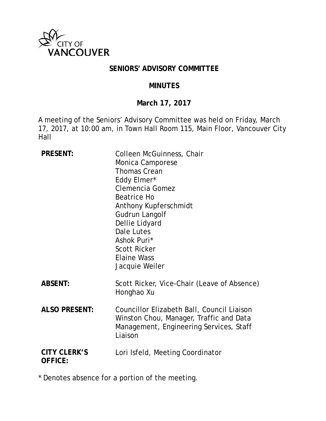

#### **SENIORS' ADVISORY COMMITTEE**

#### **MINUTES**

#### **March 17, 2017**

A meeting of the Seniors' Advisory Committee was held on Friday, March 17, 2017, at 10:00 am, in Town Hall Room 115, Main Floor, Vancouver City Hall

| <b>PRESENT:</b>                       | Colleen McGuinness, Chair<br>Monica Camporese<br><b>Thomas Crean</b><br>Eddy Elmer*<br>Clemencia Gomez<br><b>Beatrice Ho</b><br>Anthony Kupferschmidt<br>Gudrun Langolf<br>Dellie Lidyard<br>Dale Lutes<br>Ashok Puri*<br><b>Scott Ricker</b><br><b>Elaine Wass</b><br>Jacquie Weiler |
|---------------------------------------|---------------------------------------------------------------------------------------------------------------------------------------------------------------------------------------------------------------------------------------------------------------------------------------|
| <b>ABSENT:</b>                        | Scott Ricker, Vice-Chair (Leave of Absence)<br>Honghao Xu                                                                                                                                                                                                                             |
| <b>ALSO PRESENT:</b>                  | Councillor Elizabeth Ball, Council Liaison<br>Winston Chou, Manager, Traffic and Data<br>Management, Engineering Services, Staff<br>Liaison                                                                                                                                           |
| <b>CITY CLERK'S</b><br><b>OFFICE:</b> | Lori Isfeld, Meeting Coordinator                                                                                                                                                                                                                                                      |

\* Denotes absence for a portion of the meeting.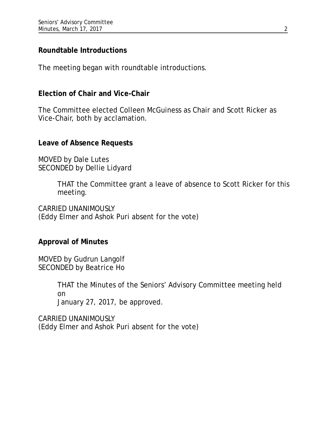### **Roundtable Introductions**

The meeting began with roundtable introductions.

#### **Election of Chair and Vice-Chair**

The Committee elected Colleen McGuiness as Chair and Scott Ricker as Vice-Chair, both by acclamation.

#### **Leave of Absence Requests**

MOVED by Dale Lutes SECONDED by Dellie Lidyard

> THAT the Committee grant a leave of absence to Scott Ricker for this meeting.

CARRIED UNANIMOUSLY (Eddy Elmer and Ashok Puri absent for the vote)

### **Approval of Minutes**

MOVED by Gudrun Langolf SECONDED by Beatrice Ho

> THAT the Minutes of the Seniors' Advisory Committee meeting held on January 27, 2017, be approved.

CARRIED UNANIMOUSLY (Eddy Elmer and Ashok Puri absent for the vote)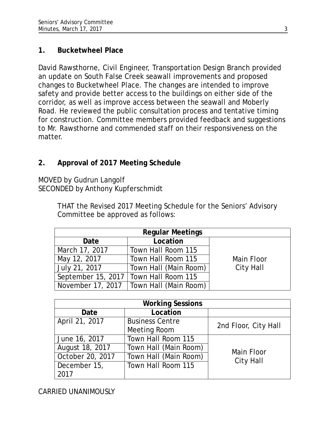### **1. Bucketwheel Place**

David Rawsthorne, Civil Engineer, Transportation Design Branch provided an update on South False Creek seawall improvements and proposed changes to Bucketwheel Place. The changes are intended to improve safety and provide better access to the buildings on either side of the corridor, as well as improve access between the seawall and Moberly Road. He reviewed the public consultation process and tentative timing for construction. Committee members provided feedback and suggestions to Mr. Rawsthorne and commended staff on their responsiveness on the matter.

# **2. Approval of 2017 Meeting Schedule**

MOVED by Gudrun Langolf SECONDED by Anthony Kupferschmidt

> THAT the Revised 2017 Meeting Schedule for the Seniors' Advisory Committee be approved as follows:

|                   | <b>Regular Meetings</b>                 |            |
|-------------------|-----------------------------------------|------------|
| Date              | Location                                |            |
| March 17, 2017    | Town Hall Room 115                      |            |
| May 12, 2017      | Town Hall Room 115                      | Main Floor |
| July 21, 2017     | Town Hall (Main Room)                   | City Hall  |
|                   | September 15, 2017   Town Hall Room 115 |            |
| November 17, 2017 | Town Hall (Main Room)                   |            |

| <b>Working Sessions</b> |                        |                      |  |  |
|-------------------------|------------------------|----------------------|--|--|
| Date                    | Location               |                      |  |  |
| April 21, 2017          | <b>Business Centre</b> | 2nd Floor, City Hall |  |  |
|                         | <b>Meeting Room</b>    |                      |  |  |
| June 16, 2017           | Town Hall Room 115     |                      |  |  |
| August 18, 2017         | Town Hall (Main Room)  | Main Floor           |  |  |
| October 20, 2017        | Town Hall (Main Room)  | <b>City Hall</b>     |  |  |
| December 15,            | Town Hall Room 115     |                      |  |  |
| 2017                    |                        |                      |  |  |

CARRIED UNANIMOUSLY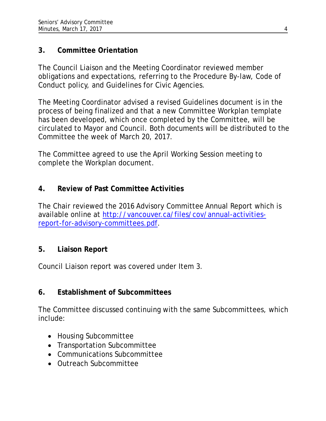# **3. Committee Orientation**

The Council Liaison and the Meeting Coordinator reviewed member obligations and expectations, referring to the Procedure By-law, Code of Conduct policy, and Guidelines for Civic Agencies.

The Meeting Coordinator advised a revised Guidelines document is in the process of being finalized and that a new Committee Workplan template has been developed, which once completed by the Committee, will be circulated to Mayor and Council. Both documents will be distributed to the Committee the week of March 20, 2017.

The Committee agreed to use the April Working Session meeting to complete the Workplan document.

# **4. Review of Past Committee Activities**

The Chair reviewed the 2016 Advisory Committee Annual Report which is available online at [http://vancouver.ca/files/cov/annual-activities](http://vancouver.ca/files/cov/annual-activities-report-for-advisory-committees.pdf)[report-for-advisory-committees.pdf.](http://vancouver.ca/files/cov/annual-activities-report-for-advisory-committees.pdf)

### **5. Liaison Report**

Council Liaison report was covered under Item 3.

# **6. Establishment of Subcommittees**

The Committee discussed continuing with the same Subcommittees, which include:

- Housing Subcommittee
- Transportation Subcommittee
- Communications Subcommittee
- Outreach Subcommittee